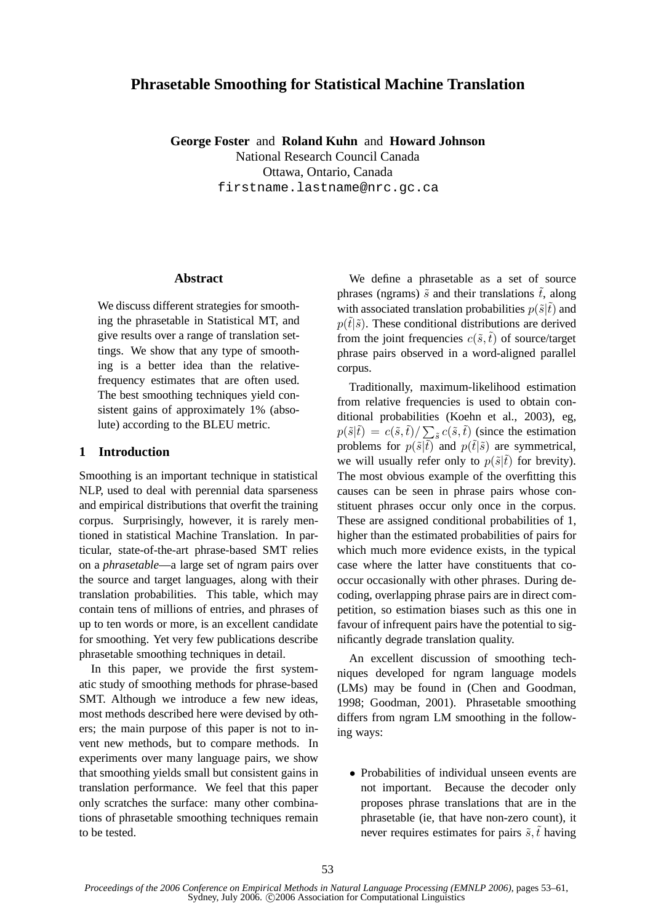# **Phrasetable Smoothing for Statistical Machine Translation**

**George Foster** and **Roland Kuhn** and **Howard Johnson** National Research Council Canada Ottawa, Ontario, Canada firstname.lastname@nrc.gc.ca

## **Abstract**

We discuss different strategies for smoothing the phrasetable in Statistical MT, and give results over a range of translation settings. We show that any type of smoothing is a better idea than the relativefrequency estimates that are often used. The best smoothing techniques yield consistent gains of approximately 1% (absolute) according to the BLEU metric.

## **1 Introduction**

Smoothing is an important technique in statistical NLP, used to deal with perennial data sparseness and empirical distributions that overfit the training corpus. Surprisingly, however, it is rarely mentioned in statistical Machine Translation. In particular, state-of-the-art phrase-based SMT relies on a *phrasetable*—a large set of ngram pairs over the source and target languages, along with their translation probabilities. This table, which may contain tens of millions of entries, and phrases of up to ten words or more, is an excellent candidate for smoothing. Yet very few publications describe phrasetable smoothing techniques in detail.

In this paper, we provide the first systematic study of smoothing methods for phrase-based SMT. Although we introduce a few new ideas, most methods described here were devised by others; the main purpose of this paper is not to invent new methods, but to compare methods. In experiments over many language pairs, we show that smoothing yields small but consistent gains in translation performance. We feel that this paper only scratches the surface: many other combinations of phrasetable smoothing techniques remain to be tested.

We define a phrasetable as a set of source phrases (ngrams)  $\tilde{s}$  and their translations  $\tilde{t}$ , along with associated translation probabilities  $p(\tilde{s}|\tilde{t})$  and  $p(\tilde{t}|\tilde{s})$ . These conditional distributions are derived from the joint frequencies  $c(\tilde{s}, \tilde{t})$  of source/target phrase pairs observed in a word-aligned parallel corpus.

Traditionally, maximum-likelihood estimation from relative frequencies is used to obtain conditional probabilities (Koehn et al., 2003), eg,  $p(\tilde{s}|\tilde{t}) = c(\tilde{s}, \tilde{t}) / \sum_{\tilde{s}} c(\tilde{s}, \tilde{t})$  (since the estimation problems for  $p(\tilde{s}|\tilde{t})$  and  $p(\tilde{t}|\tilde{s})$  are symmetrical, we will usually refer only to  $p(\tilde{s}|\tilde{t})$  for brevity). The most obvious example of the overfitting this causes can be seen in phrase pairs whose constituent phrases occur only once in the corpus. These are assigned conditional probabilities of 1, higher than the estimated probabilities of pairs for which much more evidence exists, in the typical case where the latter have constituents that cooccur occasionally with other phrases. During decoding, overlapping phrase pairs are in direct competition, so estimation biases such as this one in favour of infrequent pairs have the potential to significantly degrade translation quality.

An excellent discussion of smoothing techniques developed for ngram language models (LMs) may be found in (Chen and Goodman, 1998; Goodman, 2001). Phrasetable smoothing differs from ngram LM smoothing in the following ways:

• Probabilities of individual unseen events are not important. Because the decoder only proposes phrase translations that are in the phrasetable (ie, that have non-zero count), it never requires estimates for pairs  $\tilde{s}$ ,  $\tilde{t}$  having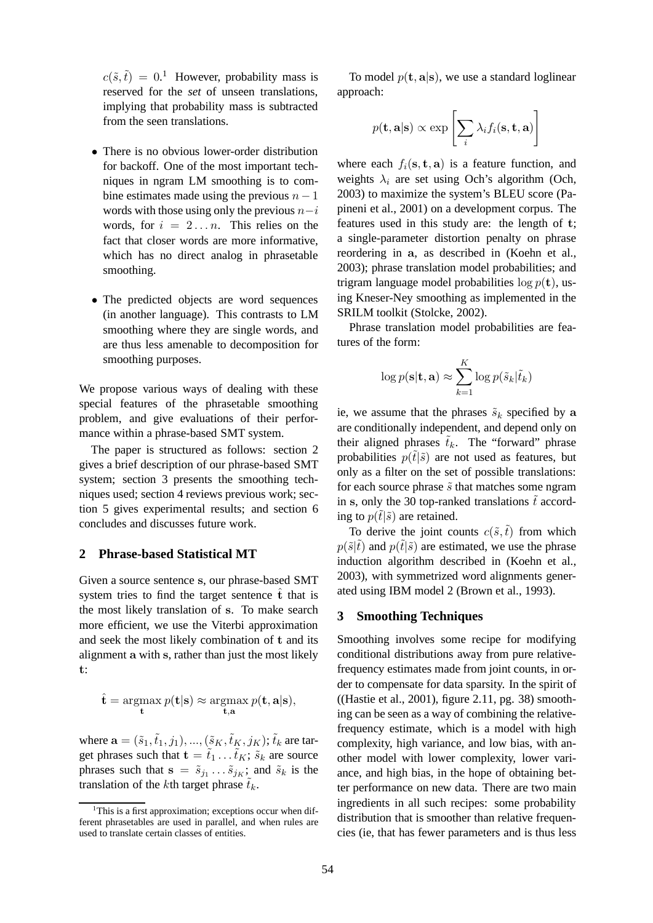$c(\tilde{s}, \tilde{t}) = 0$ <sup>1</sup> However, probability mass is reserved for the *set* of unseen translations, implying that probability mass is subtracted from the seen translations.

- There is no obvious lower-order distribution for backoff. One of the most important techniques in ngram LM smoothing is to combine estimates made using the previous  $n - 1$ words with those using only the previous  $n-i$ words, for  $i = 2...n$ . This relies on the fact that closer words are more informative, which has no direct analog in phrasetable smoothing.
- The predicted objects are word sequences (in another language). This contrasts to LM smoothing where they are single words, and are thus less amenable to decomposition for smoothing purposes.

We propose various ways of dealing with these special features of the phrasetable smoothing problem, and give evaluations of their performance within a phrase-based SMT system.

The paper is structured as follows: section 2 gives a brief description of our phrase-based SMT system; section 3 presents the smoothing techniques used; section 4 reviews previous work; section 5 gives experimental results; and section 6 concludes and discusses future work.

### **2 Phrase-based Statistical MT**

Given a source sentence s, our phrase-based SMT system tries to find the target sentence  $\hat{t}$  that is the most likely translation of s. To make search more efficient, we use the Viterbi approximation and seek the most likely combination of t and its alignment a with s, rather than just the most likely t:

$$
\hat{\mathbf{t}} = \operatorname*{argmax}_{\mathbf{t}} p(\mathbf{t}|\mathbf{s}) \approx \operatorname*{argmax}_{\mathbf{t}, \mathbf{a}} p(\mathbf{t}, \mathbf{a}|\mathbf{s}),
$$

where  $\mathbf{a} = (\tilde{s}_1, \tilde{t}_1, j_1), ..., (\tilde{s}_K, \tilde{t}_K, j_K)$ ;  $\tilde{t}_k$  are target phrases such that  $\mathbf{t} = \tilde{t}_1 \dots \tilde{t}_K$ ;  $\tilde{s}_k$  are source phrases such that  $\mathbf{s} = \tilde{s}_{j_1} \dots \tilde{s}_{j_K}$ ; and  $\tilde{s}_k$  is the translation of the kth target phrase  $\tilde{t}_k$ .

To model  $p(\mathbf{t}, \mathbf{a} | \mathbf{s})$ , we use a standard loglinear approach:

$$
p(\mathbf{t}, \mathbf{a} | \mathbf{s}) \propto \exp \left[\sum_{i} \lambda_i f_i(\mathbf{s}, \mathbf{t}, \mathbf{a})\right]
$$

where each  $f_i(\mathbf{s}, \mathbf{t}, \mathbf{a})$  is a feature function, and weights  $\lambda_i$  are set using Och's algorithm (Och, 2003) to maximize the system's BLEU score (Papineni et al., 2001) on a development corpus. The features used in this study are: the length of t; a single-parameter distortion penalty on phrase reordering in a, as described in (Koehn et al., 2003); phrase translation model probabilities; and trigram language model probabilities  $\log p(\mathbf{t})$ , using Kneser-Ney smoothing as implemented in the SRILM toolkit (Stolcke, 2002).

Phrase translation model probabilities are features of the form:

$$
\log p(\mathbf{s}|\mathbf{t}, \mathbf{a}) \approx \sum_{k=1}^{K} \log p(\tilde{s}_k | \tilde{t}_k)
$$

ie, we assume that the phrases  $\tilde{s}_k$  specified by a are conditionally independent, and depend only on their aligned phrases  $\tilde{t}_k$ . The "forward" phrase probabilities  $p(\tilde{t}|\tilde{s})$  are not used as features, but only as a filter on the set of possible translations: for each source phrase  $\tilde{s}$  that matches some ngram in s, only the 30 top-ranked translations  $\tilde{t}$  according to  $p(t|\tilde{s})$  are retained.

To derive the joint counts  $c(\tilde{s},\tilde{t})$  from which  $p(\tilde{s}|\tilde{t})$  and  $p(\tilde{t}|\tilde{s})$  are estimated, we use the phrase induction algorithm described in (Koehn et al., 2003), with symmetrized word alignments generated using IBM model 2 (Brown et al., 1993).

## **3 Smoothing Techniques**

Smoothing involves some recipe for modifying conditional distributions away from pure relativefrequency estimates made from joint counts, in order to compensate for data sparsity. In the spirit of ((Hastie et al., 2001), figure 2.11, pg. 38) smoothing can be seen as a way of combining the relativefrequency estimate, which is a model with high complexity, high variance, and low bias, with another model with lower complexity, lower variance, and high bias, in the hope of obtaining better performance on new data. There are two main ingredients in all such recipes: some probability distribution that is smoother than relative frequencies (ie, that has fewer parameters and is thus less

<sup>&</sup>lt;sup>1</sup>This is a first approximation; exceptions occur when different phrasetables are used in parallel, and when rules are used to translate certain classes of entities.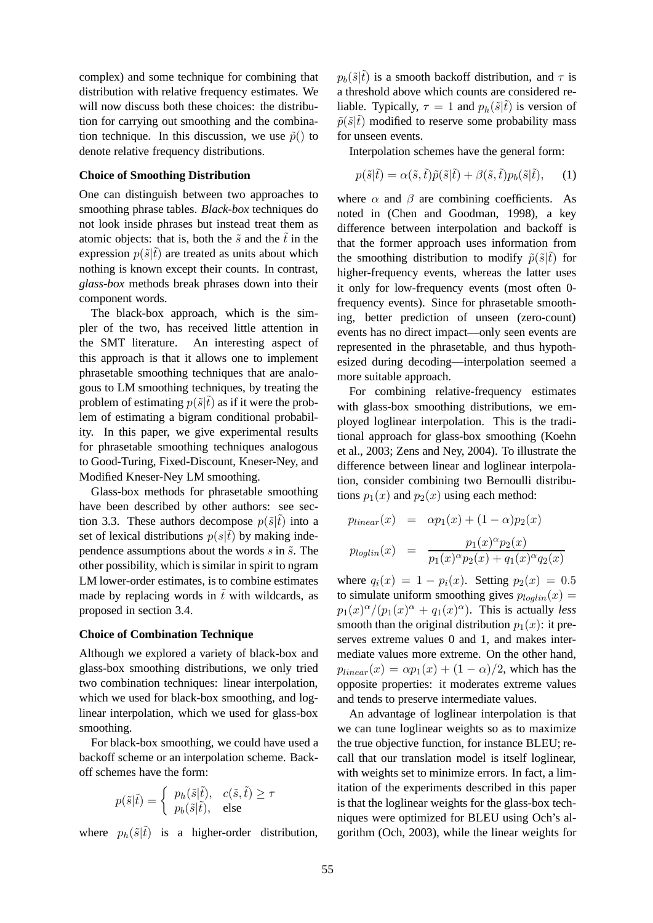complex) and some technique for combining that distribution with relative frequency estimates. We will now discuss both these choices: the distribution for carrying out smoothing and the combination technique. In this discussion, we use  $\tilde{p}()$  to denote relative frequency distributions.

### **Choice of Smoothing Distribution**

One can distinguish between two approaches to smoothing phrase tables. *Black-box* techniques do not look inside phrases but instead treat them as atomic objects: that is, both the  $\tilde{s}$  and the  $\tilde{t}$  in the expression  $p(\tilde{s}|\tilde{t})$  are treated as units about which nothing is known except their counts. In contrast, *glass-box* methods break phrases down into their component words.

The black-box approach, which is the simpler of the two, has received little attention in the SMT literature. An interesting aspect of this approach is that it allows one to implement phrasetable smoothing techniques that are analogous to LM smoothing techniques, by treating the problem of estimating  $p(\tilde{s}|\tilde{t})$  as if it were the problem of estimating a bigram conditional probability. In this paper, we give experimental results for phrasetable smoothing techniques analogous to Good-Turing, Fixed-Discount, Kneser-Ney, and Modified Kneser-Ney LM smoothing.

Glass-box methods for phrasetable smoothing have been described by other authors: see section 3.3. These authors decompose  $p(\tilde{s}|\tilde{t})$  into a set of lexical distributions  $p(s|\tilde{t})$  by making independence assumptions about the words  $s$  in  $\tilde{s}$ . The other possibility, which is similar in spirit to ngram LM lower-order estimates, is to combine estimates made by replacing words in  $\tilde{t}$  with wildcards, as proposed in section 3.4.

### **Choice of Combination Technique**

Although we explored a variety of black-box and glass-box smoothing distributions, we only tried two combination techniques: linear interpolation, which we used for black-box smoothing, and loglinear interpolation, which we used for glass-box smoothing.

For black-box smoothing, we could have used a backoff scheme or an interpolation scheme. Backoff schemes have the form:

$$
p(\tilde{s}|\tilde{t}) = \begin{cases} p_h(\tilde{s}|\tilde{t}), & c(\tilde{s}, \tilde{t}) \ge \tau \\ p_b(\tilde{s}|\tilde{t}), & \text{else} \end{cases}
$$

where  $p_h(\tilde{s}|\tilde{t})$  is a higher-order distribution,

 $p_b(\tilde{s}|\tilde{t})$  is a smooth backoff distribution, and  $\tau$  is a threshold above which counts are considered reliable. Typically,  $\tau = 1$  and  $p_h(\tilde{s}|\tilde{t})$  is version of  $\tilde{p}(\tilde{s}|\tilde{t})$  modified to reserve some probability mass for unseen events.

Interpolation schemes have the general form:

$$
p(\tilde{s}|\tilde{t}) = \alpha(\tilde{s}, \tilde{t})\tilde{p}(\tilde{s}|\tilde{t}) + \beta(\tilde{s}, \tilde{t})p_b(\tilde{s}|\tilde{t}), \quad (1)
$$

where  $\alpha$  and  $\beta$  are combining coefficients. As noted in (Chen and Goodman, 1998), a key difference between interpolation and backoff is that the former approach uses information from the smoothing distribution to modify  $\tilde{p}(\tilde{s}|\tilde{t})$  for higher-frequency events, whereas the latter uses it only for low-frequency events (most often 0 frequency events). Since for phrasetable smoothing, better prediction of unseen (zero-count) events has no direct impact—only seen events are represented in the phrasetable, and thus hypothesized during decoding—interpolation seemed a more suitable approach.

For combining relative-frequency estimates with glass-box smoothing distributions, we employed loglinear interpolation. This is the traditional approach for glass-box smoothing (Koehn et al., 2003; Zens and Ney, 2004). To illustrate the difference between linear and loglinear interpolation, consider combining two Bernoulli distributions  $p_1(x)$  and  $p_2(x)$  using each method:

$$
p_{linear}(x) = \alpha p_1(x) + (1 - \alpha)p_2(x)
$$

$$
p_{loglin}(x) = \frac{p_1(x)^{\alpha} p_2(x)}{p_1(x)^{\alpha} p_2(x) + q_1(x)^{\alpha} q_2(x)}
$$

where  $q_i(x) = 1 - p_i(x)$ . Setting  $p_2(x) = 0.5$ to simulate uniform smoothing gives  $p_{loglin}(x) =$  $p_1(x)^\alpha/(p_1(x)^\alpha+q_1(x)^\alpha)$ . This is actually *less* smooth than the original distribution  $p_1(x)$ : it preserves extreme values 0 and 1, and makes intermediate values more extreme. On the other hand,  $p_{linear}(x) = \alpha p_1(x) + (1 - \alpha)/2$ , which has the opposite properties: it moderates extreme values and tends to preserve intermediate values.

An advantage of loglinear interpolation is that we can tune loglinear weights so as to maximize the true objective function, for instance BLEU; recall that our translation model is itself loglinear, with weights set to minimize errors. In fact, a limitation of the experiments described in this paper is that the loglinear weights for the glass-box techniques were optimized for BLEU using Och's algorithm (Och, 2003), while the linear weights for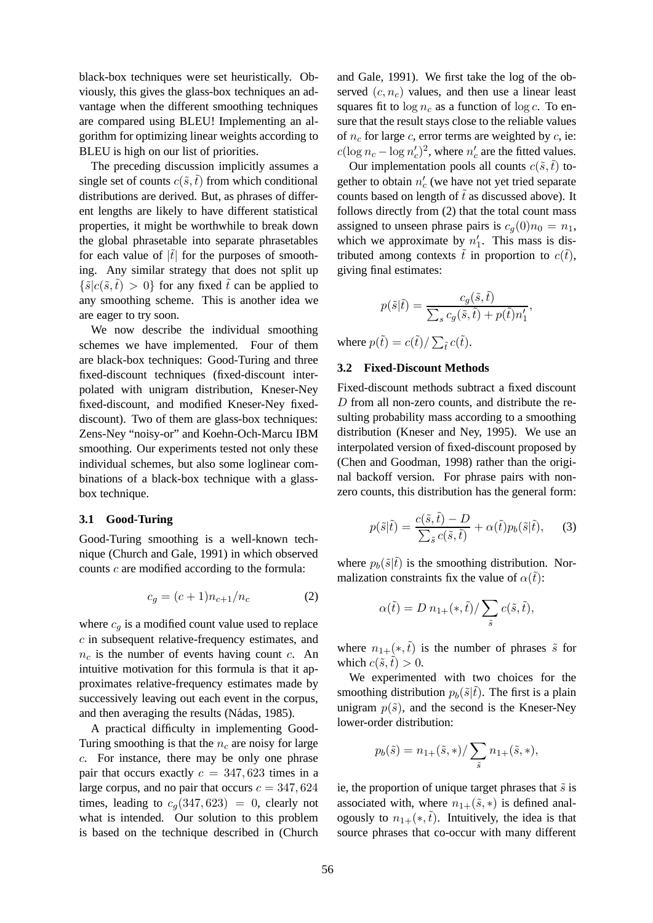black-box techniques were set heuristically. Obviously, this gives the glass-box techniques an advantage when the different smoothing techniques are compared using BLEU! Implementing an algorithm for optimizing linear weights according to BLEU is high on our list of priorities.

The preceding discussion implicitly assumes a single set of counts  $c(\tilde{s},\tilde{t})$  from which conditional distributions are derived. But, as phrases of different lengths are likely to have different statistical properties, it might be worthwhile to break down the global phrasetable into separate phrasetables for each value of  $|\tilde{t}|$  for the purposes of smoothing. Any similar strategy that does not split up  $\{\tilde{s}|c(\tilde{s},\tilde{t})>0\}$  for any fixed  $\tilde{t}$  can be applied to any smoothing scheme. This is another idea we are eager to try soon.

We now describe the individual smoothing schemes we have implemented. Four of them are black-box techniques: Good-Turing and three fixed-discount techniques (fixed-discount interpolated with unigram distribution, Kneser-Ney fixed-discount, and modified Kneser-Ney fixeddiscount). Two of them are glass-box techniques: Zens-Ney "noisy-or" and Koehn-Och-Marcu IBM smoothing. Our experiments tested not only these individual schemes, but also some loglinear combinations of a black-box technique with a glassbox technique.

#### **3.1 Good-Turing**

Good-Turing smoothing is a well-known technique (Church and Gale, 1991) in which observed counts c are modified according to the formula:

$$
c_g = (c+1)n_{c+1}/n_c \t\t(2)
$$

where  $c_q$  is a modified count value used to replace c in subsequent relative-frequency estimates, and  $n_c$  is the number of events having count c. An intuitive motivation for this formula is that it approximates relative-frequency estimates made by successively leaving out each event in the corpus, and then averaging the results (Nádas, 1985).

A practical difficulty in implementing Good-Turing smoothing is that the  $n_c$  are noisy for large c. For instance, there may be only one phrase pair that occurs exactly  $c = 347,623$  times in a large corpus, and no pair that occurs  $c = 347,624$ times, leading to  $c_q(347, 623) = 0$ , clearly not what is intended. Our solution to this problem is based on the technique described in (Church

and Gale, 1991). We first take the log of the observed  $(c, n_c)$  values, and then use a linear least squares fit to  $\log n_c$  as a function of  $\log c$ . To ensure that the result stays close to the reliable values of  $n_c$  for large c, error terms are weighted by c, ie:  $c(\log n_c - \log n_c')^2$ , where  $n_c'$  are the fitted values.

Our implementation pools all counts  $c(\tilde{s}, \tilde{t})$  together to obtain  $n'_c$  (we have not yet tried separate counts based on length of  $\tilde{t}$  as discussed above). It follows directly from (2) that the total count mass assigned to unseen phrase pairs is  $c_q(0)n_0 = n_1$ , which we approximate by  $n'_1$ . This mass is distributed among contexts  $\tilde{t}$  in proportion to  $c(\tilde{t})$ , giving final estimates:

$$
p(\tilde{s}|\tilde{t}) = \frac{c_g(\tilde{s}, \tilde{t})}{\sum_s c_g(\tilde{s}, \tilde{t}) + p(\tilde{t})n'_1}
$$

,

where  $p(\tilde{t}) = c(\tilde{t}) / \sum_{\tilde{t}} c(\tilde{t}).$ 

## **3.2 Fixed-Discount Methods**

Fixed-discount methods subtract a fixed discount D from all non-zero counts, and distribute the resulting probability mass according to a smoothing distribution (Kneser and Ney, 1995). We use an interpolated version of fixed-discount proposed by (Chen and Goodman, 1998) rather than the original backoff version. For phrase pairs with nonzero counts, this distribution has the general form:

$$
p(\tilde{s}|\tilde{t}) = \frac{c(\tilde{s}, \tilde{t}) - D}{\sum_{\tilde{s}} c(\tilde{s}, \tilde{t})} + \alpha(\tilde{t}) p_b(\tilde{s}|\tilde{t}), \quad (3)
$$

where  $p_b(\tilde{s}|\tilde{t})$  is the smoothing distribution. Normalization constraints fix the value of  $\alpha(t)$ :

$$
\alpha(\tilde{t}) = D n_{1+}(*,\tilde{t}) / \sum_{\tilde{s}} c(\tilde{s}, \tilde{t}),
$$

where  $n_{1+}(*, \tilde{t})$  is the number of phrases  $\tilde{s}$  for which  $c(\tilde{s}, \tilde{t}) > 0$ .

We experimented with two choices for the smoothing distribution  $p_b(\tilde{s}|\tilde{t})$ . The first is a plain unigram  $p(\tilde{s})$ , and the second is the Kneser-Ney lower-order distribution:

$$
p_b(\tilde{s}) = n_{1+}(\tilde{s}, *) / \sum_{\tilde{s}} n_{1+}(\tilde{s}, *),
$$

ie, the proportion of unique target phrases that  $\tilde{s}$  is associated with, where  $n_{1+}(\tilde{s}, *)$  is defined analogously to  $n_{1+}(*,t)$ . Intuitively, the idea is that source phrases that co-occur with many different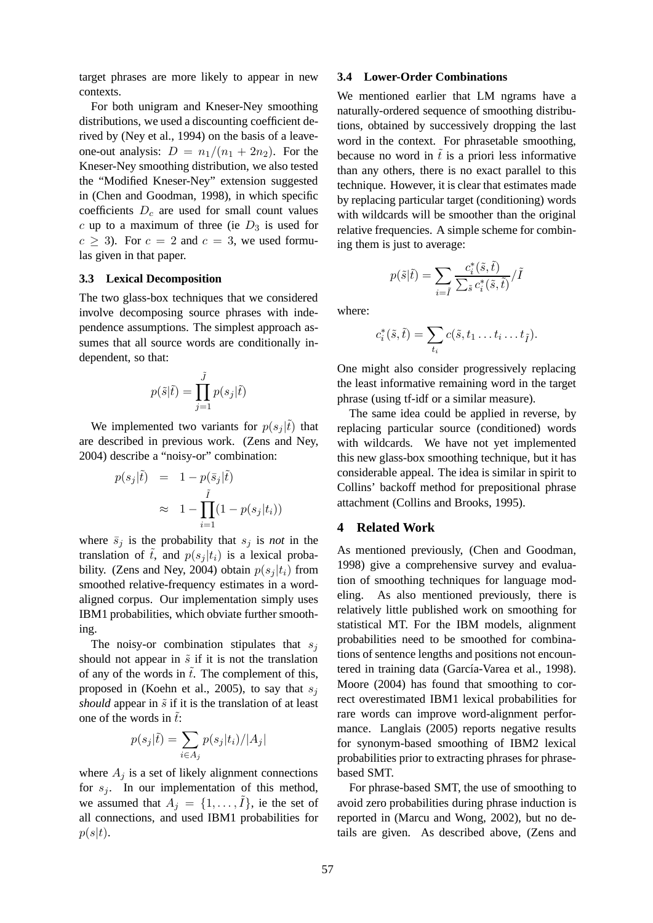target phrases are more likely to appear in new contexts.

For both unigram and Kneser-Ney smoothing distributions, we used a discounting coefficient derived by (Ney et al., 1994) on the basis of a leaveone-out analysis:  $D = n_1/(n_1 + 2n_2)$ . For the Kneser-Ney smoothing distribution, we also tested the "Modified Kneser-Ney" extension suggested in (Chen and Goodman, 1998), in which specific coefficients  $D<sub>c</sub>$  are used for small count values c up to a maximum of three (ie  $D_3$  is used for  $c > 3$ ). For  $c = 2$  and  $c = 3$ , we used formulas given in that paper.

#### **3.3 Lexical Decomposition**

The two glass-box techniques that we considered involve decomposing source phrases with independence assumptions. The simplest approach assumes that all source words are conditionally independent, so that:

$$
p(\tilde{s}|\tilde{t}) = \prod_{j=1}^{\tilde{J}} p(s_j|\tilde{t})
$$

We implemented two variants for  $p(s_i | \tilde{t})$  that are described in previous work. (Zens and Ney, 2004) describe a "noisy-or" combination:

$$
p(s_j|\tilde{t}) = 1 - p(\bar{s}_j|\tilde{t})
$$
  

$$
\approx 1 - \prod_{i=1}^{\tilde{t}} (1 - p(s_j|t_i))
$$

where  $\bar{s}_j$  is the probability that  $s_j$  is *not* in the translation of  $\tilde{t}$ , and  $p(s_i | t_i)$  is a lexical probability. (Zens and Ney, 2004) obtain  $p(s_i | t_i)$  from smoothed relative-frequency estimates in a wordaligned corpus. Our implementation simply uses IBM1 probabilities, which obviate further smoothing.

The noisy-or combination stipulates that  $s_i$ should not appear in  $\tilde{s}$  if it is not the translation of any of the words in  $\tilde{t}$ . The complement of this, proposed in (Koehn et al., 2005), to say that  $s_i$ *should* appear in  $\tilde{s}$  if it is the translation of at least one of the words in  $\tilde{t}$ :

$$
p(s_j|\tilde{t}) = \sum_{i \in A_j} p(s_j|t_i) / |A_j|
$$

where  $A_i$  is a set of likely alignment connections for  $s_j$ . In our implementation of this method, we assumed that  $A_j = \{1, \ldots, \tilde{I}\}\$ , ie the set of all connections, and used IBM1 probabilities for  $p(s|t)$ .

### **3.4 Lower-Order Combinations**

We mentioned earlier that LM ngrams have a naturally-ordered sequence of smoothing distributions, obtained by successively dropping the last word in the context. For phrasetable smoothing, because no word in  $\tilde{t}$  is a priori less informative than any others, there is no exact parallel to this technique. However, it is clear that estimates made by replacing particular target (conditioning) words with wildcards will be smoother than the original relative frequencies. A simple scheme for combining them is just to average:

$$
p(\tilde{s}|\tilde{t}) = \sum_{i=\tilde{I}} \frac{c_i^*(\tilde{s}, \tilde{t})}{\sum_{\tilde{s}} c_i^*(\tilde{s}, \tilde{t})}/\tilde{I}
$$

where:

$$
c_i^*(\tilde{s}, \tilde{t}) = \sum_{t_i} c(\tilde{s}, t_1 \dots t_i \dots t_{\tilde{t}}).
$$

One might also consider progressively replacing the least informative remaining word in the target phrase (using tf-idf or a similar measure).

The same idea could be applied in reverse, by replacing particular source (conditioned) words with wildcards. We have not yet implemented this new glass-box smoothing technique, but it has considerable appeal. The idea is similar in spirit to Collins' backoff method for prepositional phrase attachment (Collins and Brooks, 1995).

## **4 Related Work**

As mentioned previously, (Chen and Goodman, 1998) give a comprehensive survey and evaluation of smoothing techniques for language modeling. As also mentioned previously, there is relatively little published work on smoothing for statistical MT. For the IBM models, alignment probabilities need to be smoothed for combinations of sentence lengths and positions not encountered in training data (García-Varea et al., 1998). Moore (2004) has found that smoothing to correct overestimated IBM1 lexical probabilities for rare words can improve word-alignment performance. Langlais (2005) reports negative results for synonym-based smoothing of IBM2 lexical probabilities prior to extracting phrases for phrasebased SMT.

For phrase-based SMT, the use of smoothing to avoid zero probabilities during phrase induction is reported in (Marcu and Wong, 2002), but no details are given. As described above, (Zens and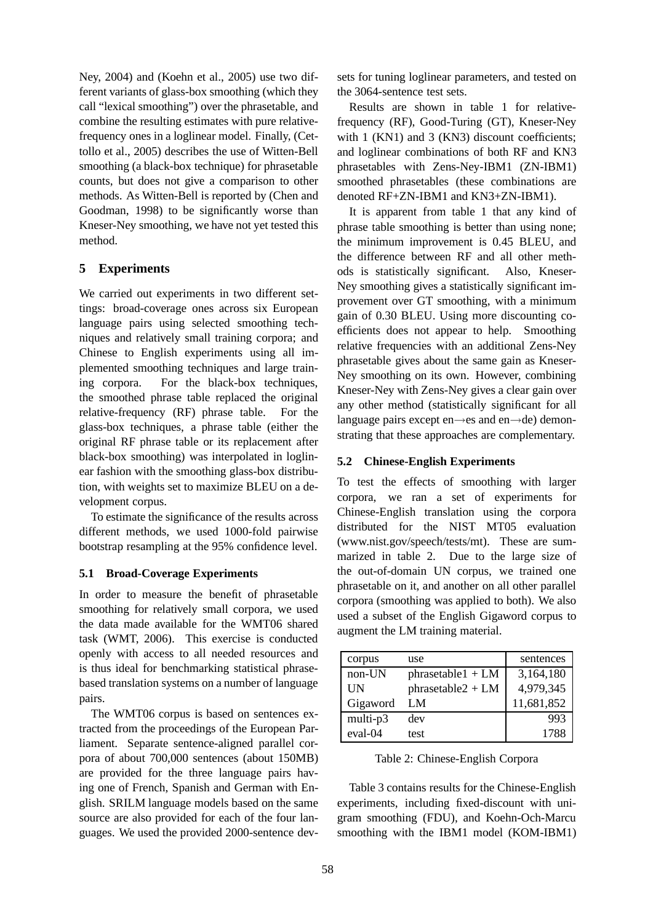Ney, 2004) and (Koehn et al., 2005) use two different variants of glass-box smoothing (which they call "lexical smoothing") over the phrasetable, and combine the resulting estimates with pure relativefrequency ones in a loglinear model. Finally, (Cettollo et al., 2005) describes the use of Witten-Bell smoothing (a black-box technique) for phrasetable counts, but does not give a comparison to other methods. As Witten-Bell is reported by (Chen and Goodman, 1998) to be significantly worse than Kneser-Ney smoothing, we have not yet tested this method.

## **5 Experiments**

We carried out experiments in two different settings: broad-coverage ones across six European language pairs using selected smoothing techniques and relatively small training corpora; and Chinese to English experiments using all implemented smoothing techniques and large training corpora. For the black-box techniques, the smoothed phrase table replaced the original relative-frequency (RF) phrase table. For the glass-box techniques, a phrase table (either the original RF phrase table or its replacement after black-box smoothing) was interpolated in loglinear fashion with the smoothing glass-box distribution, with weights set to maximize BLEU on a development corpus.

To estimate the significance of the results across different methods, we used 1000-fold pairwise bootstrap resampling at the 95% confidence level.

## **5.1 Broad-Coverage Experiments**

In order to measure the benefit of phrasetable smoothing for relatively small corpora, we used the data made available for the WMT06 shared task (WMT, 2006). This exercise is conducted openly with access to all needed resources and is thus ideal for benchmarking statistical phrasebased translation systems on a number of language pairs.

The WMT06 corpus is based on sentences extracted from the proceedings of the European Parliament. Separate sentence-aligned parallel corpora of about 700,000 sentences (about 150MB) are provided for the three language pairs having one of French, Spanish and German with English. SRILM language models based on the same source are also provided for each of the four languages. We used the provided 2000-sentence devsets for tuning loglinear parameters, and tested on the 3064-sentence test sets.

Results are shown in table 1 for relativefrequency (RF), Good-Turing (GT), Kneser-Ney with 1 (KN1) and 3 (KN3) discount coefficients; and loglinear combinations of both RF and KN3 phrasetables with Zens-Ney-IBM1 (ZN-IBM1) smoothed phrasetables (these combinations are denoted RF+ZN-IBM1 and KN3+ZN-IBM1).

It is apparent from table 1 that any kind of phrase table smoothing is better than using none; the minimum improvement is 0.45 BLEU, and the difference between RF and all other methods is statistically significant. Also, Kneser-Ney smoothing gives a statistically significant improvement over GT smoothing, with a minimum gain of 0.30 BLEU. Using more discounting coefficients does not appear to help. Smoothing relative frequencies with an additional Zens-Ney phrasetable gives about the same gain as Kneser-Ney smoothing on its own. However, combining Kneser-Ney with Zens-Ney gives a clear gain over any other method (statistically significant for all language pairs except en→es and en→de) demonstrating that these approaches are complementary.

## **5.2 Chinese-English Experiments**

To test the effects of smoothing with larger corpora, we ran a set of experiments for Chinese-English translation using the corpora distributed for the NIST MT05 evaluation (www.nist.gov/speech/tests/mt). These are summarized in table 2. Due to the large size of the out-of-domain UN corpus, we trained one phrasetable on it, and another on all other parallel corpora (smoothing was applied to both). We also used a subset of the English Gigaword corpus to augment the LM training material.

| corpus   | use                 | sentences  |
|----------|---------------------|------------|
| non-UN   | $phrasedable1 + LM$ | 3,164,180  |
| UN       | $phrasedable2 + LM$ | 4,979,345  |
| Gigaword | LM                  | 11,681,852 |
| multi-p3 | dev                 | 993        |
| eval-04  | test                | 1788       |

Table 2: Chinese-English Corpora

Table 3 contains results for the Chinese-English experiments, including fixed-discount with unigram smoothing (FDU), and Koehn-Och-Marcu smoothing with the IBM1 model (KOM-IBM1)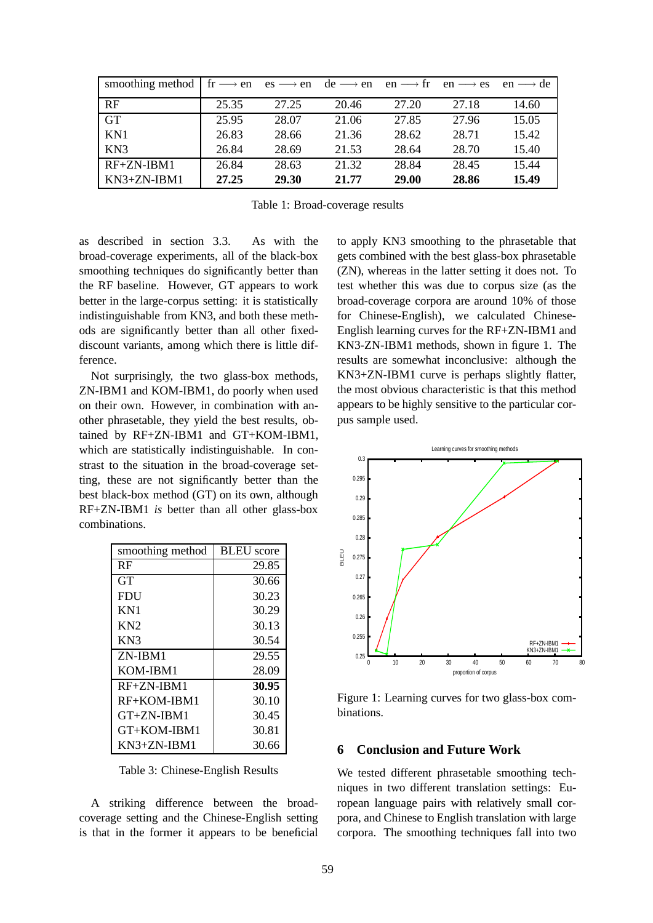| smoothing method $\mid$ fr $\longrightarrow$ en es $\longrightarrow$ en |       |       | $de \rightarrow en$ | $en \rightarrow fr$ | $en \rightarrow es$ | $en \rightarrow de$ |
|-------------------------------------------------------------------------|-------|-------|---------------------|---------------------|---------------------|---------------------|
| RF                                                                      | 25.35 | 27.25 | 20.46               | 27.20               | 27.18               | 14.60               |
| <b>GT</b>                                                               | 25.95 | 28.07 | 21.06               | 27.85               | 27.96               | 15.05               |
| KN1                                                                     | 26.83 | 28.66 | 21.36               | 28.62               | 28.71               | 15.42               |
| KN <sub>3</sub>                                                         | 26.84 | 28.69 | 21.53               | 28.64               | 28.70               | 15.40               |
| $RF+ZN-IBM1$                                                            | 26.84 | 28.63 | 21.32               | 28.84               | 28.45               | 15.44               |
| $KN3+ZN-IBM1$                                                           | 27.25 | 29.30 | 21.77               | 29.00               | 28.86               | 15.49               |

Table 1: Broad-coverage results

as described in section 3.3. As with the broad-coverage experiments, all of the black-box smoothing techniques do significantly better than the RF baseline. However, GT appears to work better in the large-corpus setting: it is statistically indistinguishable from KN3, and both these methods are significantly better than all other fixeddiscount variants, among which there is little difference.

Not surprisingly, the two glass-box methods, ZN-IBM1 and KOM-IBM1, do poorly when used on their own. However, in combination with another phrasetable, they yield the best results, obtained by RF+ZN-IBM1 and GT+KOM-IBM1, which are statistically indistinguishable. In constrast to the situation in the broad-coverage setting, these are not significantly better than the best black-box method (GT) on its own, although RF+ZN-IBM1 *is* better than all other glass-box combinations.

| smoothing method | <b>BLEU</b> score |  |  |
|------------------|-------------------|--|--|
| RF               | 29.85             |  |  |
| GT               | 30.66             |  |  |
| <b>FDU</b>       | 30.23             |  |  |
| KN1              | 30.29             |  |  |
| KN <sub>2</sub>  | 30.13             |  |  |
| KN3              | 30.54             |  |  |
| ZN-IBM1          | 29.55             |  |  |
| KOM-IBM1         | 28.09             |  |  |
| $RF+ZN-IBM1$     | 30.95             |  |  |
| $RF+KOM-IBM1$    | 30.10             |  |  |
| $GT+ZN-IBM1$     | 30.45             |  |  |
| GT+KOM-IBM1      | 30.81             |  |  |
| $KN3+ZN-IBM1$    | 30.66             |  |  |

Table 3: Chinese-English Results

A striking difference between the broadcoverage setting and the Chinese-English setting is that in the former it appears to be beneficial to apply KN3 smoothing to the phrasetable that gets combined with the best glass-box phrasetable (ZN), whereas in the latter setting it does not. To test whether this was due to corpus size (as the broad-coverage corpora are around 10% of those for Chinese-English), we calculated Chinese-English learning curves for the RF+ZN-IBM1 and KN3-ZN-IBM1 methods, shown in figure 1. The results are somewhat inconclusive: although the KN3+ZN-IBM1 curve is perhaps slightly flatter, the most obvious characteristic is that this method appears to be highly sensitive to the particular corpus sample used.



Figure 1: Learning curves for two glass-box combinations.

## **6 Conclusion and Future Work**

We tested different phrasetable smoothing techniques in two different translation settings: European language pairs with relatively small corpora, and Chinese to English translation with large corpora. The smoothing techniques fall into two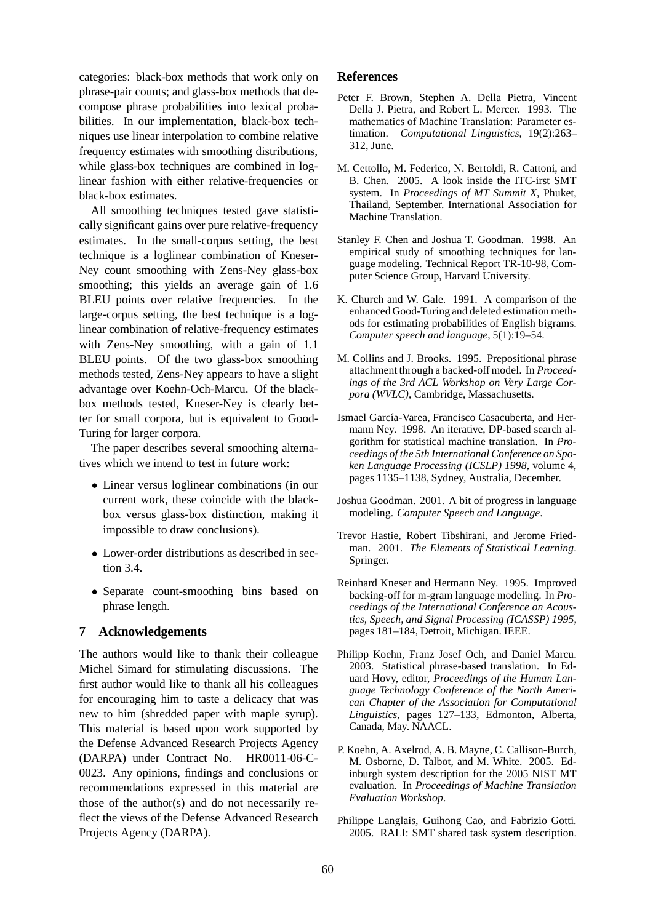categories: black-box methods that work only on phrase-pair counts; and glass-box methods that decompose phrase probabilities into lexical probabilities. In our implementation, black-box techniques use linear interpolation to combine relative frequency estimates with smoothing distributions, while glass-box techniques are combined in loglinear fashion with either relative-frequencies or black-box estimates.

All smoothing techniques tested gave statistically significant gains over pure relative-frequency estimates. In the small-corpus setting, the best technique is a loglinear combination of Kneser-Ney count smoothing with Zens-Ney glass-box smoothing; this yields an average gain of 1.6 BLEU points over relative frequencies. In the large-corpus setting, the best technique is a loglinear combination of relative-frequency estimates with Zens-Ney smoothing, with a gain of 1.1 BLEU points. Of the two glass-box smoothing methods tested, Zens-Ney appears to have a slight advantage over Koehn-Och-Marcu. Of the blackbox methods tested, Kneser-Ney is clearly better for small corpora, but is equivalent to Good-Turing for larger corpora.

The paper describes several smoothing alternatives which we intend to test in future work:

- Linear versus loglinear combinations (in our current work, these coincide with the blackbox versus glass-box distinction, making it impossible to draw conclusions).
- Lower-order distributions as described in section 3.4.
- Separate count-smoothing bins based on phrase length.

## **7 Acknowledgements**

The authors would like to thank their colleague Michel Simard for stimulating discussions. The first author would like to thank all his colleagues for encouraging him to taste a delicacy that was new to him (shredded paper with maple syrup). This material is based upon work supported by the Defense Advanced Research Projects Agency (DARPA) under Contract No. HR0011-06-C-0023. Any opinions, findings and conclusions or recommendations expressed in this material are those of the author(s) and do not necessarily reflect the views of the Defense Advanced Research Projects Agency (DARPA).

## **References**

- Peter F. Brown, Stephen A. Della Pietra, Vincent Della J. Pietra, and Robert L. Mercer. 1993. The mathematics of Machine Translation: Parameter estimation. *Computational Linguistics*, 19(2):263– 312, June.
- M. Cettollo, M. Federico, N. Bertoldi, R. Cattoni, and B. Chen. 2005. A look inside the ITC-irst SMT system. In *Proceedings of MT Summit X*, Phuket, Thailand, September. International Association for Machine Translation.
- Stanley F. Chen and Joshua T. Goodman. 1998. An empirical study of smoothing techniques for language modeling. Technical Report TR-10-98, Computer Science Group, Harvard University.
- K. Church and W. Gale. 1991. A comparison of the enhanced Good-Turing and deleted estimation methods for estimating probabilities of English bigrams. *Computer speech and language*, 5(1):19–54.
- M. Collins and J. Brooks. 1995. Prepositional phrase attachment through a backed-off model. In *Proceedings of the 3rd ACL Workshop on Very Large Corpora (WVLC)*, Cambridge, Massachusetts.
- Ismael García-Varea, Francisco Casacuberta, and Hermann Ney. 1998. An iterative, DP-based search algorithm for statistical machine translation. In *Proceedings of the 5th International Conference on Spoken Language Processing (ICSLP) 1998*, volume 4, pages 1135–1138, Sydney, Australia, December.
- Joshua Goodman. 2001. A bit of progress in language modeling. *Computer Speech and Language*.
- Trevor Hastie, Robert Tibshirani, and Jerome Friedman. 2001. *The Elements of Statistical Learning*. Springer.
- Reinhard Kneser and Hermann Ney. 1995. Improved backing-off for m-gram language modeling. In *Proceedings of the International Conference on Acoustics, Speech, and Signal Processing (ICASSP) 1995*, pages 181–184, Detroit, Michigan. IEEE.
- Philipp Koehn, Franz Josef Och, and Daniel Marcu. 2003. Statistical phrase-based translation. In Eduard Hovy, editor, *Proceedings of the Human Language Technology Conference of the North American Chapter of the Association for Computational Linguistics*, pages 127–133, Edmonton, Alberta, Canada, May. NAACL.
- P. Koehn, A. Axelrod, A. B. Mayne, C. Callison-Burch, M. Osborne, D. Talbot, and M. White. 2005. Edinburgh system description for the 2005 NIST MT evaluation. In *Proceedings of Machine Translation Evaluation Workshop*.
- Philippe Langlais, Guihong Cao, and Fabrizio Gotti. 2005. RALI: SMT shared task system description.